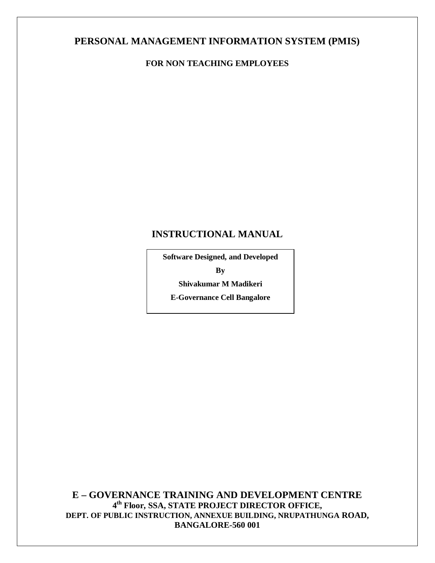# **PERSONAL MANAGEMENT INFORMATION SYSTEM (PMIS)**

### **FOR NON TEACHING EMPLOYEES**

# **INSTRUCTIONAL MANUAL**

**Software Designed, and Developed By Shivakumar M Madikeri**

**E-Governance Cell Bangalore**

**E – GOVERNANCE TRAINING AND DEVELOPMENT CENTRE 4 th Floor, SSA, STATE PROJECT DIRECTOR OFFICE, DEPT. OF PUBLIC INSTRUCTION, ANNEXUE BUILDING, NRUPATHUNGA ROAD, BANGALORE-560 001**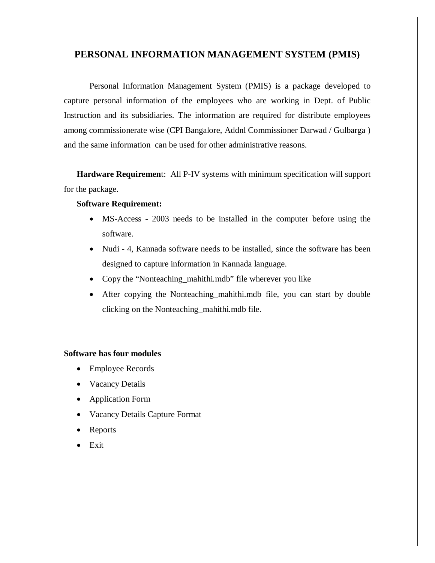### **PERSONAL INFORMATION MANAGEMENT SYSTEM (PMIS)**

Personal Information Management System (PMIS) is a package developed to capture personal information of the employees who are working in Dept. of Public Instruction and its subsidiaries. The information are required for distribute employees among commissionerate wise (CPI Bangalore, Addnl Commissioner Darwad / Gulbarga ) and the same information can be used for other administrative reasons.

**Hardware Requiremen**t: All P-IV systems with minimum specification will support for the package.

#### **Software Requirement:**

- MS-Access 2003 needs to be installed in the computer before using the software.
- Nudi 4, Kannada software needs to be installed, since the software has been designed to capture information in Kannada language.
- Copy the "Nonteaching\_mahithi.mdb" file wherever you like
- After copying the Nonteaching\_mahithi.mdb file, you can start by double clicking on the Nonteaching\_mahithi.mdb file.

#### **Software has four modules**

- Employee Records
- Vacancy Details
- Application Form
- Vacancy Details Capture Format
- Reports
- Exit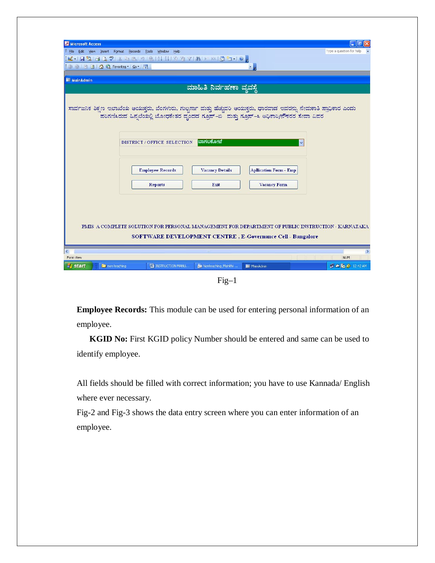| Microsoft Access                                             |                                                        |                                            |                                                                                                                                                                        |                               |
|--------------------------------------------------------------|--------------------------------------------------------|--------------------------------------------|------------------------------------------------------------------------------------------------------------------------------------------------------------------------|-------------------------------|
| $E = 1$<br>Edit View Insert Format Records Tools Window Help |                                                        |                                            |                                                                                                                                                                        | F<br>Type a question for help |
| KIRLIG TABILISH HALL MID TI O                                |                                                        |                                            |                                                                                                                                                                        |                               |
| : ⊙ ⊙   ⊠ ⊡   △ Q Favorites ▼   Go ▼   ₹                     |                                                        |                                            | $\blacksquare$                                                                                                                                                         |                               |
|                                                              |                                                        |                                            |                                                                                                                                                                        |                               |
| <b>EE</b> MainAdmin                                          |                                                        |                                            |                                                                                                                                                                        |                               |
|                                                              |                                                        | ಮಾಹಿತಿ ನಿರ್ವಹಣಾ ವ್ಯವಸ್ಥೆ                   |                                                                                                                                                                        |                               |
|                                                              | DISTRICT / OFFICE SELECTION<br><b>Employee Records</b> | ಬಾಗಲಕೋ <b>ಟೆ</b><br><b>Vacancy Details</b> | $\checkmark$<br><b>Apllication Form - Emp</b>                                                                                                                          |                               |
|                                                              | <b>Reports</b>                                         | Exit                                       | <b>Vacancy Form</b>                                                                                                                                                    |                               |
| ≺<br>Form View                                               |                                                        |                                            | PMIS A COMPLETE SOLUTION FOR PERSONAL MANAGEMENT FOR DEPARTMENT OF PUBLIC INSTRUCTION - KARNATAKA<br><b>SOFTWARE DEVELOPMENT CENTRE, E-Governance Cell - Bangalore</b> | <b>NUM</b>                    |
| non teaching<br><b>start</b>                                 | <b>EN INSTRUCTION MANU</b>                             | <b>Jm</b> Nonteaching Mahithi              | <b>BB</b> MainAdmin                                                                                                                                                    | ■ △ TO → 12:42 AM             |
|                                                              |                                                        |                                            |                                                                                                                                                                        |                               |

 $Fig-1$ 

**Employee Records:** This module can be used for entering personal information of an employee.

**KGID No:** First KGID policy Number should be entered and same can be used to identify employee.

All fields should be filled with correct information; you have to use Kannada/ English where ever necessary.

Fig-2 and Fig-3 shows the data entry screen where you can enter information of an employee.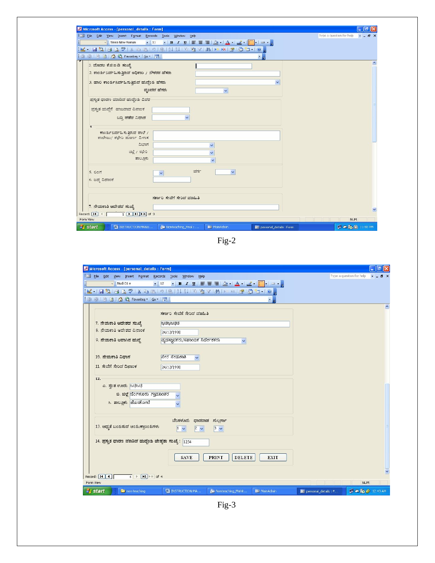| Microsoft Access - [personal_details : Form]                                                                                          | - 15                                                 |
|---------------------------------------------------------------------------------------------------------------------------------------|------------------------------------------------------|
| File Edit View Insert Format Records Tools Window Help                                                                                | Type a question for help<br>$   \mathbb{R}$ $\times$ |
| <mark>-    Times New Roman -       11 - -   B / U</mark>   ≣ ≣ ≣   <mark>◇ -   A -   <u>ノ</u> -       -</mark> -   ー - <mark>-</mark> |                                                      |
| ░KHHUHGQ♡│XGB ។│G {!{! V`@Y # )*™ @{@`O* ⊙ <mark>,</mark>                                                                             |                                                      |
| : ① ②   2   2   △ Q Favorites *   Go *   素   <br>大山                                                                                   |                                                      |
| 1. ಮೊದಲ ಕೆ.ಜಿ.ಐ.ಡಿ ಸಂಖ್ಯೆ                                                                                                             |                                                      |
| 2. ಕಾರ್ಯನಿರ್ವಹಿಸುತ್ತಿರುವ ಅಧಿಕಾರಿ / ನೌಕರರ ಹೆಸರು                                                                                        |                                                      |
|                                                                                                                                       |                                                      |
| 3. ಹಾಲಿ ಕಾರ್ಯನಿರ್ವಹಿಸುತ್ತಿರುವ ಹುದ್ದೆಯ ಹೆಸರು                                                                                           |                                                      |
| ವೃಂದದ ಹೆಸರು<br>$\checkmark$                                                                                                           |                                                      |
| ಪಸ್ತುತ ಧಾರಣ ಮಾಡಿದ ಹುದ್ದೆಂಸಿ ವಿವರ                                                                                                      |                                                      |
| ಪ್ರಸ್ತುತ ಹುದ್ದೆಗೆ ಹಾಜರಾದ ದಿನಾಂಕ                                                                                                       |                                                      |
|                                                                                                                                       |                                                      |
| ಬಡ್ಡಿ ಪಡೆದ ವಿಧಾನ                                                                                                                      |                                                      |
|                                                                                                                                       |                                                      |
| ಕಾರ್ಯನಿರ್ವಹಿಸುತ್ತಿರುವ ಶಾಲೆ /<br>ಕಾಲೇಜು/ ಕಛೇರಿ ಹೂರ್ಣ ವಿಳಾಸ                                                                             |                                                      |
| ವಿಭಾಗ<br>Ÿ                                                                                                                            |                                                      |
| <b>ಚಿಲ್ಲೆ / ಕಛೇರಿ</b>                                                                                                                 |                                                      |
| ತಾಲೂಕು                                                                                                                                |                                                      |
| $\checkmark$                                                                                                                          |                                                      |
| ವರ್ಗ<br>$\checkmark$<br>$5.$ $0$ $0$ $\pi$                                                                                            |                                                      |
| 6. ಜನ್ನ ದಿನಾಂಕ                                                                                                                        |                                                      |
|                                                                                                                                       |                                                      |
|                                                                                                                                       |                                                      |
| ಸರ್ಕಾರಿ ಸೇವೆಗೆ ಸೇರಿದ ಮಾಹಿತಿ                                                                                                           |                                                      |
| 7. ನೇಮಕಾತಿ ಆದೇಶದ ಸಂಖ್ಯೆ                                                                                                               |                                                      |
| Record: $\boxed{1}$ $\boxed{1}$ $\boxed{1}$ $\boxed{1}$ $\boxed{1}$ $\boxed{1}$ $\boxed{1}$ $\boxed{1}$ $\boxed{2}$ of 3              |                                                      |
| Form View                                                                                                                             |                                                      |

Fig-2

| File Edit View Insert Format Records Tools Window Help<br>Type a question for help<br>$-$    Nudi 01 e<br>KHEBISBY KGBI ISBRITY GYAIK KGIG TIO,<br>: ④ ⑤   M □   △ Q Favorites ▼   Go ▼   录  <br>$\blacksquare$<br>ಸರ್ಕಾರಿ ಸೇವೆಗೆ ಸೇರಿದ ಮಾಹಿತಿ<br>7. ನೇಮಕಾತಿ ಆದೇಶದ ಸಂಖ್ಯೆ<br>2525252323<br>8. ನೇಮಕಾತಿ ಆದೇಶದ ದಿನಾಂಕ<br>24/12/1998<br>9. ನೇಮಕಾತಿ ಆದಾಗಿನ ಹುದ್ದೆ<br>ವ್ಯವಸ್ಥಾಪಕರು/ಸಹಾಂತಿಕ ನಿರ್ದೇಶಕರು<br>$\checkmark$<br>10. ನೇಮಕಾತಿ ವಿಧಾನ<br>ನೇರ ನೇಮಕಾತಿ<br>$\ddot{\mathbf{v}}$<br>11. ಸೇವೆಗೆ ಸೇರಿದ ದಿನಾಂಕ<br>24/12/1998<br>12.<br>ಎ. ಸಂತ ಊರು. ಜಚಿಜಚಿ<br>ಬಿ. ಜಿಲ್ಲೆ ಬೆಂಗಳೂರು ಗ್ರಾಮಾಂತರ<br>ಸಿ. ತಾಲ್ಲೂಕು. ಹೊಸಕೋಟೆ<br>ಬೆಂಗಳೂರು ಧಾರವಾಡ ಗುಲ್ಬರ್ಗಾ<br>13. ಆಧ್ಯತೆ ಬಂತುಸುವ ಆಂತುಕಾಲಂತುಗಳು<br>$\boxed{1-\mathbf{v}}$<br>$2 \vee$<br>$3 - 1$<br>14. ಪ್ರಸ್ತುತ ಧಾರಣ ಮಾಡಿದ ಹುದ್ದೆಂತು ಜೇಷ್ಠತಾ ಸಂಖ್ಯೆ: 1254<br><b>SAVE</b><br><b>PRINT</b><br><b>DELETE</b><br><b>EXIT</b><br>$\overline{4}$ $\uparrow$ $\overline{H}$ $\uparrow$ of 4<br>Record: 14 4<br>Form View<br>NUM | Microsoft Access - [personal_details : Form] |  | $\Box$ $\Box$ $\times$ |
|-------------------------------------------------------------------------------------------------------------------------------------------------------------------------------------------------------------------------------------------------------------------------------------------------------------------------------------------------------------------------------------------------------------------------------------------------------------------------------------------------------------------------------------------------------------------------------------------------------------------------------------------------------------------------------------------------------------------------------------------------------------------------------------------------------------------------------------------------------------------------------------------------------------------------------------------------------|----------------------------------------------|--|------------------------|
|                                                                                                                                                                                                                                                                                                                                                                                                                                                                                                                                                                                                                                                                                                                                                                                                                                                                                                                                                       |                                              |  | $   \sqrt{2}$ $\times$ |
|                                                                                                                                                                                                                                                                                                                                                                                                                                                                                                                                                                                                                                                                                                                                                                                                                                                                                                                                                       |                                              |  |                        |
|                                                                                                                                                                                                                                                                                                                                                                                                                                                                                                                                                                                                                                                                                                                                                                                                                                                                                                                                                       |                                              |  |                        |
|                                                                                                                                                                                                                                                                                                                                                                                                                                                                                                                                                                                                                                                                                                                                                                                                                                                                                                                                                       |                                              |  |                        |
|                                                                                                                                                                                                                                                                                                                                                                                                                                                                                                                                                                                                                                                                                                                                                                                                                                                                                                                                                       |                                              |  |                        |
|                                                                                                                                                                                                                                                                                                                                                                                                                                                                                                                                                                                                                                                                                                                                                                                                                                                                                                                                                       |                                              |  |                        |
|                                                                                                                                                                                                                                                                                                                                                                                                                                                                                                                                                                                                                                                                                                                                                                                                                                                                                                                                                       |                                              |  |                        |
|                                                                                                                                                                                                                                                                                                                                                                                                                                                                                                                                                                                                                                                                                                                                                                                                                                                                                                                                                       |                                              |  |                        |
|                                                                                                                                                                                                                                                                                                                                                                                                                                                                                                                                                                                                                                                                                                                                                                                                                                                                                                                                                       |                                              |  |                        |
|                                                                                                                                                                                                                                                                                                                                                                                                                                                                                                                                                                                                                                                                                                                                                                                                                                                                                                                                                       |                                              |  |                        |
|                                                                                                                                                                                                                                                                                                                                                                                                                                                                                                                                                                                                                                                                                                                                                                                                                                                                                                                                                       |                                              |  |                        |
|                                                                                                                                                                                                                                                                                                                                                                                                                                                                                                                                                                                                                                                                                                                                                                                                                                                                                                                                                       |                                              |  |                        |
|                                                                                                                                                                                                                                                                                                                                                                                                                                                                                                                                                                                                                                                                                                                                                                                                                                                                                                                                                       |                                              |  |                        |
|                                                                                                                                                                                                                                                                                                                                                                                                                                                                                                                                                                                                                                                                                                                                                                                                                                                                                                                                                       |                                              |  |                        |
|                                                                                                                                                                                                                                                                                                                                                                                                                                                                                                                                                                                                                                                                                                                                                                                                                                                                                                                                                       |                                              |  |                        |
|                                                                                                                                                                                                                                                                                                                                                                                                                                                                                                                                                                                                                                                                                                                                                                                                                                                                                                                                                       |                                              |  |                        |
|                                                                                                                                                                                                                                                                                                                                                                                                                                                                                                                                                                                                                                                                                                                                                                                                                                                                                                                                                       |                                              |  |                        |
|                                                                                                                                                                                                                                                                                                                                                                                                                                                                                                                                                                                                                                                                                                                                                                                                                                                                                                                                                       |                                              |  |                        |
|                                                                                                                                                                                                                                                                                                                                                                                                                                                                                                                                                                                                                                                                                                                                                                                                                                                                                                                                                       |                                              |  |                        |
|                                                                                                                                                                                                                                                                                                                                                                                                                                                                                                                                                                                                                                                                                                                                                                                                                                                                                                                                                       |                                              |  |                        |
|                                                                                                                                                                                                                                                                                                                                                                                                                                                                                                                                                                                                                                                                                                                                                                                                                                                                                                                                                       |                                              |  |                        |
|                                                                                                                                                                                                                                                                                                                                                                                                                                                                                                                                                                                                                                                                                                                                                                                                                                                                                                                                                       |                                              |  |                        |
|                                                                                                                                                                                                                                                                                                                                                                                                                                                                                                                                                                                                                                                                                                                                                                                                                                                                                                                                                       |                                              |  |                        |
|                                                                                                                                                                                                                                                                                                                                                                                                                                                                                                                                                                                                                                                                                                                                                                                                                                                                                                                                                       |                                              |  |                        |
|                                                                                                                                                                                                                                                                                                                                                                                                                                                                                                                                                                                                                                                                                                                                                                                                                                                                                                                                                       |                                              |  |                        |
|                                                                                                                                                                                                                                                                                                                                                                                                                                                                                                                                                                                                                                                                                                                                                                                                                                                                                                                                                       |                                              |  |                        |
|                                                                                                                                                                                                                                                                                                                                                                                                                                                                                                                                                                                                                                                                                                                                                                                                                                                                                                                                                       |                                              |  |                        |
| <b><i>istant</i></b><br><b>D</b> 2 12:43 AM                                                                                                                                                                                                                                                                                                                                                                                                                                                                                                                                                                                                                                                                                                                                                                                                                                                                                                           |                                              |  |                        |

Fig-3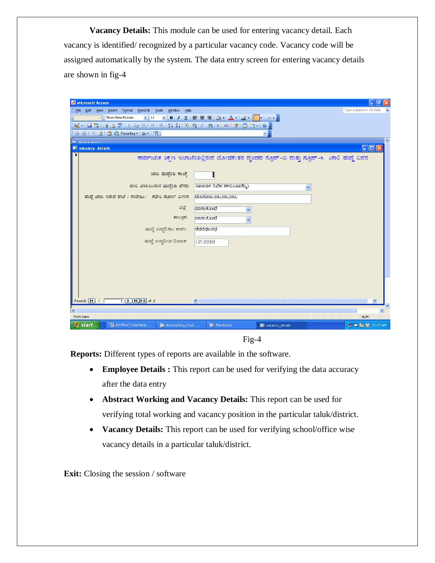**Vacancy Details:** This module can be used for entering vacancy detail. Each vacancy is identified/ recognized by a particular vacancy code. Vacancy code will be assigned automatically by the system. The data entry screen for entering vacancy details are shown in fig-4

| Microsoft Access                                                                                                                                                          | $  \mathbf{r}   \geq   \mathbf{x}  $ |
|---------------------------------------------------------------------------------------------------------------------------------------------------------------------------|--------------------------------------|
| Eile<br>Edit View Insert Format Records Tools Window Help                                                                                                                 | Type a question for help             |
| ▝▕ <mark>B</mark> ノ <u>U</u> │≣ ≣ ≣│ <mark>░</mark> ▸│ <mark>∆ ・│</mark> ∠ ・│ <mark> ・│□ ・ <sub>□</sub></mark><br>$-$   11<br>Times New Roman<br>$\overline{\phantom{a}}$ |                                      |
| LAIBBGC986819821920781×1809510.                                                                                                                                           |                                      |
| : ④ ⑤   ⊠ 回   △ Q Favorites ▼   Go ▼   न  <br>- 5                                                                                                                         |                                      |
| <b>RELIGINA donin</b>                                                                                                                                                     | ᄾ                                    |
| wacancy_details                                                                                                                                                           | $\Box$ ok                            |
| ಸಾರ್ವಜನಿಕ ಶಿಕ್ಷಣ ಇಲಾಖೆಯಲ್ಲಿರುವ ಬೋಧಕೇತರ ವೃಂದದ ಗ್ರೂಪ್–ಬಿ ಮತ್ತು ಗ್ರೂಪ್–ಸಿ  ಖಾಲಿ ಹುದ್ದೆ ವಿವರ                                                                                  |                                      |
|                                                                                                                                                                           |                                      |
| ಖಾಲಿ ಹುದ್ದೆಂತು ಸಂಖ್ಯೆ<br>И                                                                                                                                                |                                      |
| ಸಹಾಂತಿಕ ನಿರ್ದೇಶಕರು(ವಾಣಿಜ್ಯ)<br>ಹಾಲಿ ಖಾಲಿಯಿರುವ ಹುದ್ದೆಂಸಿ ಹೆಸರು                                                                                                             |                                      |
| ಹುದ್ದೆ ಖಾಲಿ ಇರುವ ಶಾಲೆ / ಕಾಲೇಜು/ ಕಛೇರಿ ಪೂರ್ಣ ವಿಳಾಸ<br>$[838383838383;8383;8383;8383;$                                                                                      |                                      |
|                                                                                                                                                                           |                                      |
| ಜಿಲ್ಲೆ<br>ಬಾಗಲಕೋಟೆ<br>$\checkmark$                                                                                                                                        |                                      |
| ತಾಲ್ಲೂಕು<br>ಬಾಗಲಕೋಟೆ<br>$\ddot{ }$                                                                                                                                        |                                      |
| ಚೀತಿಚೀತಿಜಚೀತಿ<br>ಹುದ್ದೆ ಉದ್ಭವಿಸಲು ಕಾರಣ                                                                                                                                    |                                      |
|                                                                                                                                                                           |                                      |
| ಹುದ್ದೆ ಉದ್ಭವಿಸಿದ ದಿನಾಂಕ<br>12/12/2001                                                                                                                                     |                                      |
|                                                                                                                                                                           |                                      |
|                                                                                                                                                                           |                                      |
|                                                                                                                                                                           |                                      |
|                                                                                                                                                                           |                                      |
|                                                                                                                                                                           |                                      |
|                                                                                                                                                                           |                                      |
| $1$ $\triangleright$ $\triangleright$ $\triangleright$ $\triangleright$ $\preccurlyeq$ of 2<br>Record: 14 4<br>$\left  \mathbf{<}\right $<br><b>IIII</b>                  | $\rightarrow$                        |
|                                                                                                                                                                           | ≯                                    |
| Form View                                                                                                                                                                 | <b>NUM</b>                           |
| <b>EN INSTRUCTION MANU</b><br><b>Jm</b> Nonteaching Final:<br><b>BBI</b> MainAdmin<br><b>Start</b><br>Sell vacancy_details                                                | ■ △ m → 12:27 AM                     |

Fig-4

**Reports:** Different types of reports are available in the software.

- **Employee Details :** This report can be used for verifying the data accuracy after the data entry
- **Abstract Working and Vacancy Details:** This report can be used for verifying total working and vacancy position in the particular taluk/district.
- **Vacancy Details:** This report can be used for verifying school/office wise vacancy details in a particular taluk/district.

**Exit:** Closing the session / software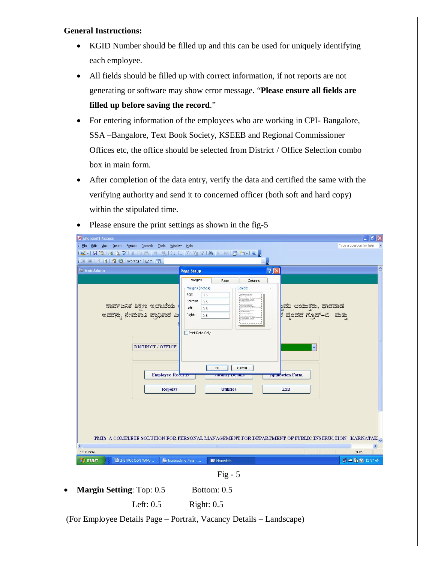#### **General Instructions:**

- KGID Number should be filled up and this can be used for uniquely identifying each employee.
- All fields should be filled up with correct information, if not reports are not generating or software may show error message. "**Please ensure all fields are filled up before saving the record**."
- For entering information of the employees who are working in CPI- Bangalore, SSA –Bangalore, Text Book Society, KSEEB and Regional Commissioner Offices etc, the office should be selected from District / Office Selection combo box in main form.
- After completion of the data entry, verify the data and certified the same with the verifying authority and send it to concerned officer (both soft and hard copy) within the stipulated time.

| Microsoft Access<br>File Edit View Insert Format Records Tools Window Help<br>Ŧ.<br>KIRBIG CYIK DIBI ISIN NIV EYIAI XIG TIO <sub>F</sub>                                                                                                                                                                                                                                                                                                                                                                                                               | $\overline{\mathbf{r}}$ $\mathbf{r}$<br>Type a question for help |
|--------------------------------------------------------------------------------------------------------------------------------------------------------------------------------------------------------------------------------------------------------------------------------------------------------------------------------------------------------------------------------------------------------------------------------------------------------------------------------------------------------------------------------------------------------|------------------------------------------------------------------|
| : 0 0 3 3 4 C Favorites - Go - 3  <br>$\blacksquare$                                                                                                                                                                                                                                                                                                                                                                                                                                                                                                   | $\hat{\phantom{a}}$                                              |
| $\boxed{?}$ $\boxed{\times}$<br><b>BE MainAdmin</b><br><b>Page Setup</b><br>Margins<br>Columns<br>Page<br>Margins (inches)<br><b>Sample</b><br>Top:<br>0.5<br>Bottom:<br>0.5<br>ಾಸಾರ್ವಜನಿಕ ಶಿಕ್ಷಣ ಇಲಾಖೆಯ ।<br>ಇವರನ್ನು ನೇಮಕಾತಿ ಪ್ರಾಧಿಕಾರ ಎ<br><sub>¦</sub> ವರಿ ಆಯುಕ್ತರು, ಧಾರವಾಡ<br><sup>,</sup> ವೃಂದದ ಗ್ರೂಪ್–ಬಿ  ಮತ್ತು<br>Left:<br>0.5<br>Right:<br>0.5<br>Print Data Only<br><b>DISTRICT / OFFICE</b><br>v<br>OK<br>Cancel<br><b>Employee Records</b><br><b>Apuration Form</b><br><u> улсанду главны</u><br><b>Reports</b><br><b>Utilities</b><br>Exit |                                                                  |
| PMIS A COMPLETE SOLUTION FOR PERSONAL MANAGEMENT FOR DEPARTMENT OF PUBLIC INSTRUCTION - KARNATAK                                                                                                                                                                                                                                                                                                                                                                                                                                                       |                                                                  |
| K.<br>Form View                                                                                                                                                                                                                                                                                                                                                                                                                                                                                                                                        | <b>NUM</b>                                                       |
| <b>EM INSTRUCTION MANU</b><br><b><i>istant</i></b><br><b>Lim Nonteaching Final:</b><br><b>BEI MainAdmin</b>                                                                                                                                                                                                                                                                                                                                                                                                                                            | <b>D</b> & 12:57 AM                                              |
|                                                                                                                                                                                                                                                                                                                                                                                                                                                                                                                                                        |                                                                  |

• Please ensure the print settings as shown in the fig-5



**Margin Setting:** Top: 0.5 Bottom: 0.5

Left: 0.5 Right: 0.5

(For Employee Details Page – Portrait, Vacancy Details – Landscape)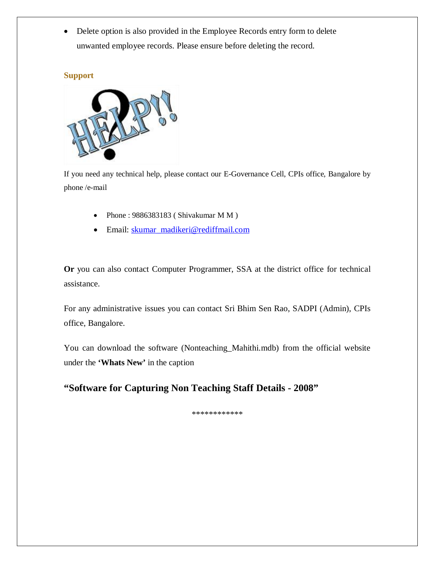• Delete option is also provided in the Employee Records entry form to delete unwanted employee records. Please ensure before deleting the record.

#### **Support**



If you need any technical help, please contact our E-Governance Cell, CPIs office, Bangalore by phone /e-mail

- Phone : 9886383183 ( Shivakumar M M )
- Email: skumar\_madikeri@rediffmail.com

**Or** you can also contact Computer Programmer, SSA at the district office for technical assistance.

For any administrative issues you can contact Sri Bhim Sen Rao, SADPI (Admin), CPIs office, Bangalore.

You can download the software (Nonteaching\_Mahithi.mdb) from the official website under the **'Whats New'** in the caption

## **"Software for Capturing Non Teaching Staff Details - 2008"**

\*\*\*\*\*\*\*\*\*\*\*\*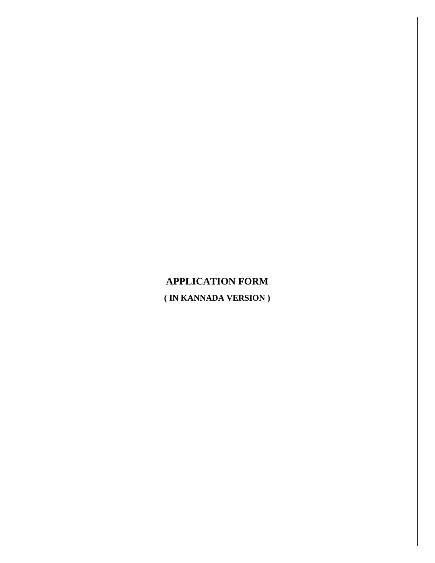# **APPLICATION FORM ( IN KANNADA VERSION )**